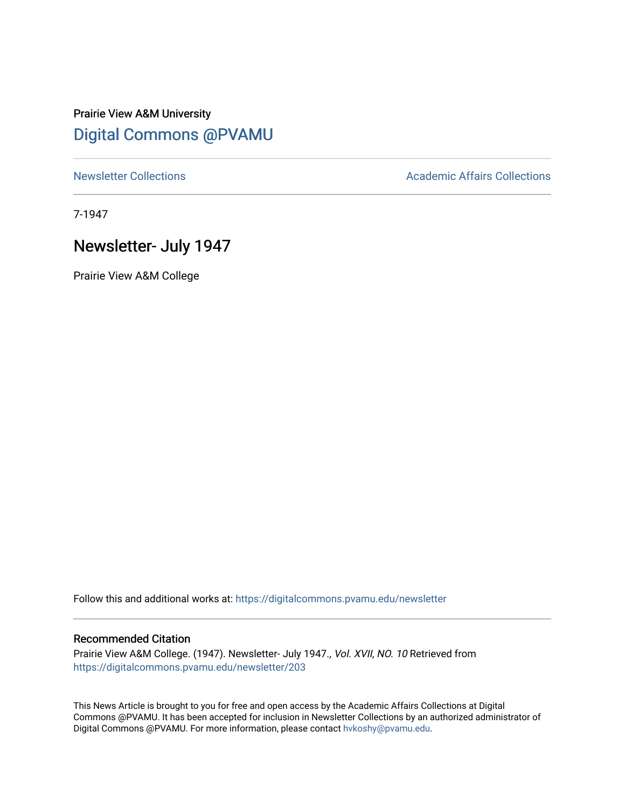# Prairie View A&M University [Digital Commons @PVAMU](https://digitalcommons.pvamu.edu/)

[Newsletter Collections](https://digitalcommons.pvamu.edu/newsletter) **Academic Affairs Collections Academic Affairs Collections** 

7-1947

## Newsletter- July 1947

Prairie View A&M College

Follow this and additional works at: [https://digitalcommons.pvamu.edu/newsletter](https://digitalcommons.pvamu.edu/newsletter?utm_source=digitalcommons.pvamu.edu%2Fnewsletter%2F203&utm_medium=PDF&utm_campaign=PDFCoverPages) 

### Recommended Citation

Prairie View A&M College. (1947). Newsletter- July 1947., Vol. XVII, NO. 10 Retrieved from [https://digitalcommons.pvamu.edu/newsletter/203](https://digitalcommons.pvamu.edu/newsletter/203?utm_source=digitalcommons.pvamu.edu%2Fnewsletter%2F203&utm_medium=PDF&utm_campaign=PDFCoverPages) 

This News Article is brought to you for free and open access by the Academic Affairs Collections at Digital Commons @PVAMU. It has been accepted for inclusion in Newsletter Collections by an authorized administrator of Digital Commons @PVAMU. For more information, please contact [hvkoshy@pvamu.edu.](mailto:hvkoshy@pvamu.edu)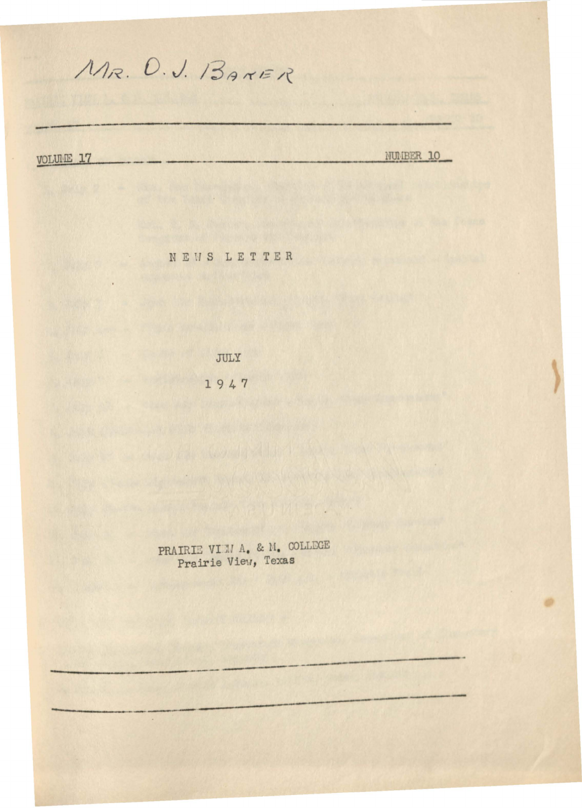MR. O.J. BANER

VOLUME 17

NUMBER 10

NEWS LETTER

JULY 1947

PRAIRIE VIEM A. & M. COLLEGE<br>Prairie View, Texas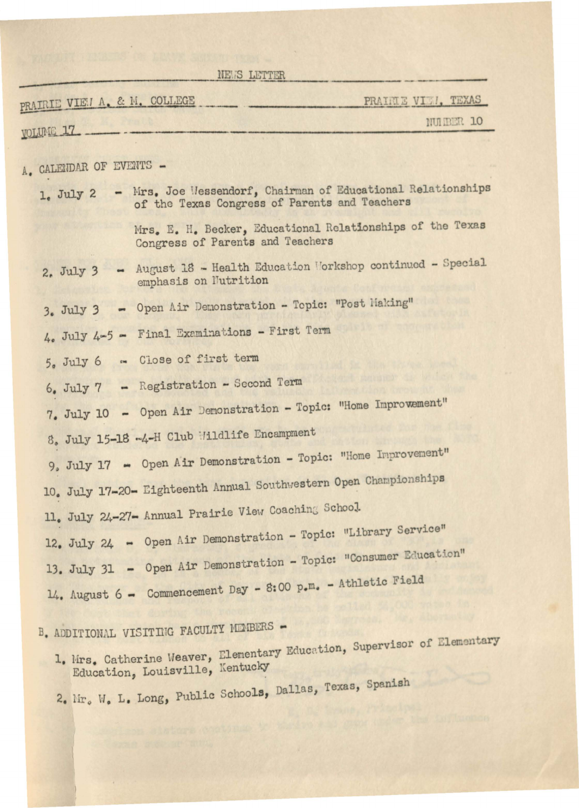| NEWS LETTER                                                                                                                |                     |
|----------------------------------------------------------------------------------------------------------------------------|---------------------|
| PRAIRIE VIEW A. & M. COLLEGE                                                                                               | PRAIRIE VIII, TEXAS |
| <b>VOLUME 17</b>                                                                                                           | NUIBER 10           |
| A. CALENDAR OF EVENTS -                                                                                                    |                     |
| - Mrs. Joe Wessendorf, Chairman of Educational Relationships<br>1. July 2<br>of the Texas Congress of Parents and Teachers |                     |
| Mrs. E. H. Becker, Educational Relationships of the Texas<br>Congress of Parents and Teachers                              |                     |
| August 18 - Health Education Morkshop continued - Special<br>2. July 3<br>emphasis on Nutrition                            |                     |
| - Open Air Demonstration - Topic: "Post Making"<br>3. July 3                                                               |                     |
| $4.4$ July $4-5$ - Final Examinations - First Term                                                                         |                     |
| Close of first term<br>5. July 6<br>tm.                                                                                    |                     |
| - Registration - Second Term<br>6. July 7                                                                                  |                     |
| 7. July 10 - Open Air Demonstration - Topic: "Home Improvement"                                                            |                     |
| 8. July 15-18 -4-H Club Wildlife Encampment                                                                                |                     |
| 9. July 17 - Open Air Demonstration - Topic: "Home Improvement"                                                            |                     |
| 10. July 17-20- Eighteenth Annual Southwestern Open Championships                                                          |                     |
| 11. July 24-27- Annual Prairie View Coaching School.                                                                       |                     |
| 12. July 24 - Open Air Demonstration - Topic: "Library Service"                                                            |                     |
| 13. July 31 - Open Air Demonstration - Topic: "Consumer Education"                                                         |                     |
| 14. August 6 - Commencement Day - 8:00 p.m. - Athletic Field                                                               |                     |
| B. ADDITIONAL VISITING FACULTY MEMBERS -                                                                                   |                     |
| 1. Mrs. Catherine Weaver, Elementary Education, Supervisor of Elementary<br>Education, Louisville, Kentucky                |                     |

2. Mr. W. L. Long, Public Schools, Dallas, Texas, Spanish